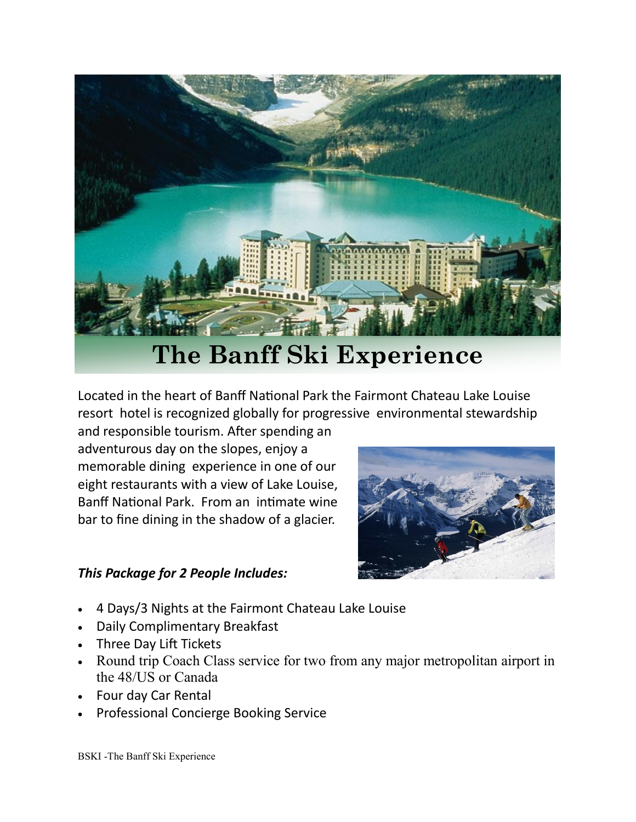

## **The Banff Ski Experience**

Located in the heart of Banff National Park the Fairmont Chateau Lake Louise resort hotel is recognized globally for progressive [environmental stewardship](http://www.fairmont.com/lake-louise/promotions/environmentalstewardship/)

and responsible tourism. After spending an adventurous day on the slopes, enjoy a memorable [dining](http://www.fairmont.com/lake-louise/dining/) experience in one of our eight restaurants with a view of Lake Louise, Banff National Park. From an intimate wine bar to fine dining in the shadow of a glacier.

## *This Package for 2 People Includes:*

- 4 Days/3 Nights at the Fairmont Chateau Lake Louise
- Daily Complimentary Breakfast
- Three Day Lift Tickets
- Round trip Coach Class service for two from any major metropolitan airport in the 48/US or Canada
- Four day Car Rental
- Professional Concierge Booking Service

BSKI -The Banff Ski Experience